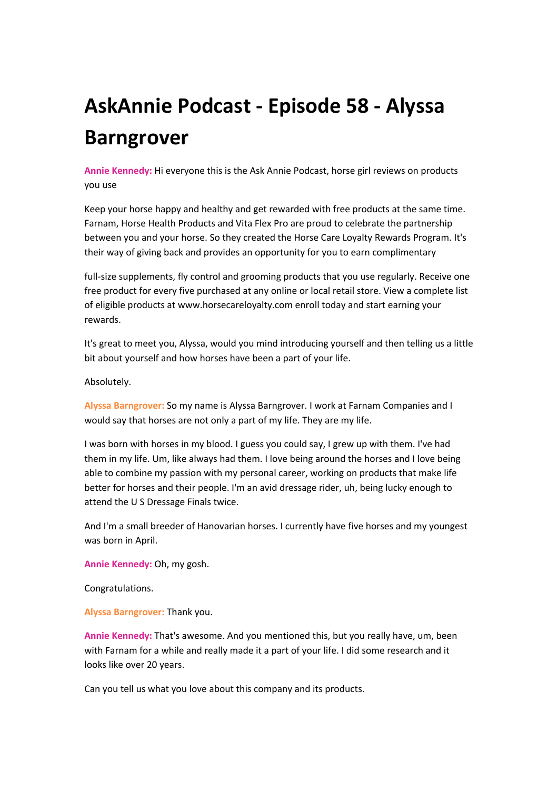## **AskAnnie Podcast - Episode 58 - Alyssa Barngrover**

**Annie Kennedy:** Hi everyone this is the Ask Annie Podcast, horse girl reviews on products you use

Keep your horse happy and healthy and get rewarded with free products at the same time. Farnam, Horse Health Products and Vita Flex Pro are proud to celebrate the partnership between you and your horse. So they created the Horse Care Loyalty Rewards Program. It's their way of giving back and provides an opportunity for you to earn complimentary

full-size supplements, fly control and grooming products that you use regularly. Receive one free product for every five purchased at any online or local retail store. View a complete list of eligible products at www.horsecareloyalty.com enroll today and start earning your rewards.

It's great to meet you, Alyssa, would you mind introducing yourself and then telling us a little bit about yourself and how horses have been a part of your life.

Absolutely.

**Alyssa Barngrover:** So my name is Alyssa Barngrover. I work at Farnam Companies and I would say that horses are not only a part of my life. They are my life.

I was born with horses in my blood. I guess you could say, I grew up with them. I've had them in my life. Um, like always had them. I love being around the horses and I love being able to combine my passion with my personal career, working on products that make life better for horses and their people. I'm an avid dressage rider, uh, being lucky enough to attend the U S Dressage Finals twice.

And I'm a small breeder of Hanovarian horses. I currently have five horses and my youngest was born in April.

**Annie Kennedy:** Oh, my gosh.

Congratulations.

**Alyssa Barngrover:** Thank you.

**Annie Kennedy:** That's awesome. And you mentioned this, but you really have, um, been with Farnam for a while and really made it a part of your life. I did some research and it looks like over 20 years.

Can you tell us what you love about this company and its products.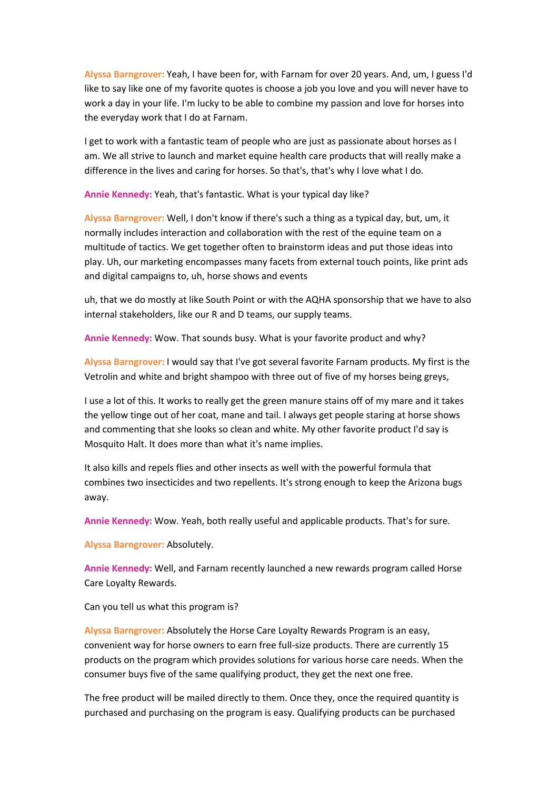**Alyssa Barngrover:** Yeah, I have been for, with Farnam for over 20 years. And, um, I guess I'd like to say like one of my favorite quotes is choose a job you love and you will never have to work a day in your life. I'm lucky to be able to combine my passion and love for horses into the everyday work that I do at Farnam.

I get to work with a fantastic team of people who are just as passionate about horses as I am. We all strive to launch and market equine health care products that will really make a difference in the lives and caring for horses. So that's, that's why I love what I do.

**Annie Kennedy:** Yeah, that's fantastic. What is your typical day like?

**Alyssa Barngrover:** Well, I don't know if there's such a thing as a typical day, but, um, it normally includes interaction and collaboration with the rest of the equine team on a multitude of tactics. We get together often to brainstorm ideas and put those ideas into play. Uh, our marketing encompasses many facets from external touch points, like print ads and digital campaigns to, uh, horse shows and events

uh, that we do mostly at like South Point or with the AQHA sponsorship that we have to also internal stakeholders, like our R and D teams, our supply teams.

**Annie Kennedy:** Wow. That sounds busy. What is your favorite product and why?

**Alyssa Barngrover:** I would say that I've got several favorite Farnam products. My first is the Vetrolin and white and bright shampoo with three out of five of my horses being greys,

I use a lot of this. It works to really get the green manure stains off of my mare and it takes the yellow tinge out of her coat, mane and tail. I always get people staring at horse shows and commenting that she looks so clean and white. My other favorite product I'd say is Mosquito Halt. It does more than what it's name implies.

It also kills and repels flies and other insects as well with the powerful formula that combines two insecticides and two repellents. It's strong enough to keep the Arizona bugs away.

**Annie Kennedy:** Wow. Yeah, both really useful and applicable products. That's for sure.

**Alyssa Barngrover:** Absolutely.

**Annie Kennedy:** Well, and Farnam recently launched a new rewards program called Horse Care Loyalty Rewards.

Can you tell us what this program is?

**Alyssa Barngrover:** Absolutely the Horse Care Loyalty Rewards Program is an easy, convenient way for horse owners to earn free full-size products. There are currently 15 products on the program which provides solutions for various horse care needs. When the consumer buys five of the same qualifying product, they get the next one free.

The free product will be mailed directly to them. Once they, once the required quantity is purchased and purchasing on the program is easy. Qualifying products can be purchased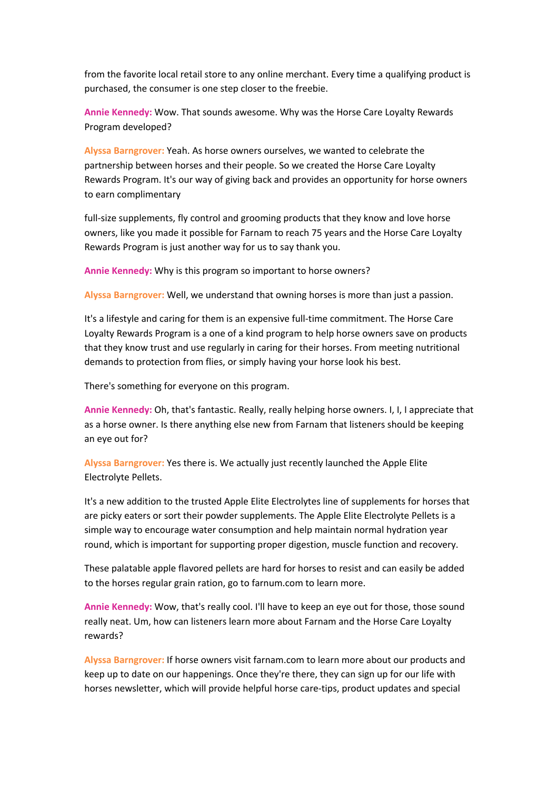from the favorite local retail store to any online merchant. Every time a qualifying product is purchased, the consumer is one step closer to the freebie.

**Annie Kennedy:** Wow. That sounds awesome. Why was the Horse Care Loyalty Rewards Program developed?

**Alyssa Barngrover:** Yeah. As horse owners ourselves, we wanted to celebrate the partnership between horses and their people. So we created the Horse Care Loyalty Rewards Program. It's our way of giving back and provides an opportunity for horse owners to earn complimentary

full-size supplements, fly control and grooming products that they know and love horse owners, like you made it possible for Farnam to reach 75 years and the Horse Care Loyalty Rewards Program is just another way for us to say thank you.

**Annie Kennedy:** Why is this program so important to horse owners?

**Alyssa Barngrover:** Well, we understand that owning horses is more than just a passion.

It's a lifestyle and caring for them is an expensive full-time commitment. The Horse Care Loyalty Rewards Program is a one of a kind program to help horse owners save on products that they know trust and use regularly in caring for their horses. From meeting nutritional demands to protection from flies, or simply having your horse look his best.

There's something for everyone on this program.

**Annie Kennedy:** Oh, that's fantastic. Really, really helping horse owners. I, I, I appreciate that as a horse owner. Is there anything else new from Farnam that listeners should be keeping an eye out for?

**Alyssa Barngrover:** Yes there is. We actually just recently launched the Apple Elite Electrolyte Pellets.

It's a new addition to the trusted Apple Elite Electrolytes line of supplements for horses that are picky eaters or sort their powder supplements. The Apple Elite Electrolyte Pellets is a simple way to encourage water consumption and help maintain normal hydration year round, which is important for supporting proper digestion, muscle function and recovery.

These palatable apple flavored pellets are hard for horses to resist and can easily be added to the horses regular grain ration, go to farnum.com to learn more.

**Annie Kennedy:** Wow, that's really cool. I'll have to keep an eye out for those, those sound really neat. Um, how can listeners learn more about Farnam and the Horse Care Loyalty rewards?

**Alyssa Barngrover:** If horse owners visit farnam.com to learn more about our products and keep up to date on our happenings. Once they're there, they can sign up for our life with horses newsletter, which will provide helpful horse care-tips, product updates and special